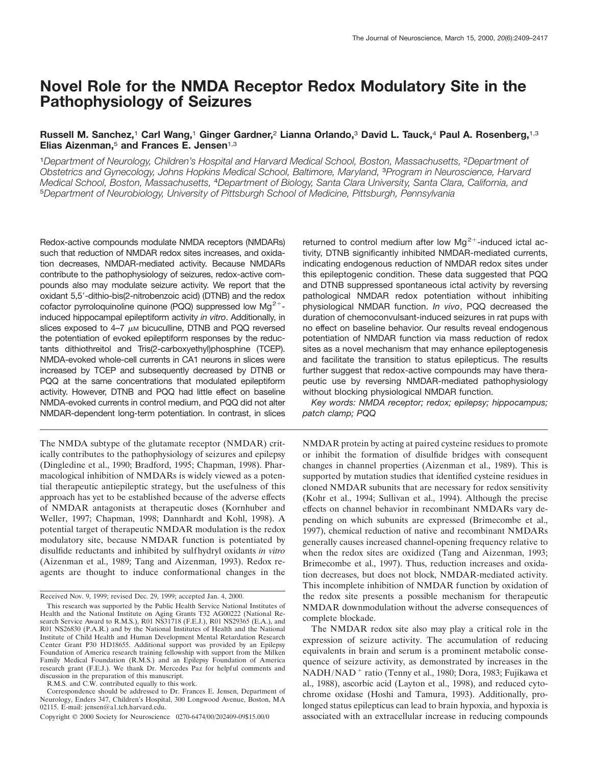# **Novel Role for the NMDA Receptor Redox Modulatory Site in the Pathophysiology of Seizures**

# **Russell M. Sanchez,**<sup>1</sup> **Carl Wang,**<sup>1</sup> **Ginger Gardner,**<sup>2</sup> **Lianna Orlando,**<sup>3</sup> **David L. Tauck,**<sup>4</sup> **Paul A. Rosenberg,**1,3 **Elias Aizenman,**<sup>5</sup> **and Frances E. Jensen**1,3

<sup>1</sup>*Department of Neurology, Children's Hospital and Harvard Medical School, Boston, Massachusetts,* <sup>2</sup>*Department of Obstetrics and Gynecology, Johns Hopkins Medical School, Baltimore, Maryland,* <sup>3</sup>*Program in Neuroscience, Harvard Medical School, Boston, Massachusetts,* <sup>4</sup>*Department of Biology, Santa Clara University, Santa Clara, California, and* <sup>5</sup>*Department of Neurobiology, University of Pittsburgh School of Medicine, Pittsburgh, Pennsylvania*

Redox-active compounds modulate NMDA receptors (NMDARs) such that reduction of NMDAR redox sites increases, and oxidation decreases, NMDAR-mediated activity. Because NMDARs contribute to the pathophysiology of seizures, redox-active compounds also may modulate seizure activity. We report that the oxidant 5,5'-dithio-bis(2-nitrobenzoic acid) (DTNB) and the redox cofactor pyrroloquinoline quinone (PQQ) suppressed low  $Mg^{2+}$ induced hippocampal epileptiform activity *in vitro*. Additionally, in slices exposed to  $4-7$   $\mu$ m bicuculline, DTNB and PQQ reversed the potentiation of evoked epileptiform responses by the reductants dithiothreitol and Tris(2-carboxyethyl)phosphine (TCEP). NMDA-evoked whole-cell currents in CA1 neurons in slices were increased by TCEP and subsequently decreased by DTNB or PQQ at the same concentrations that modulated epileptiform activity. However, DTNB and PQQ had little effect on baseline NMDA-evoked currents in control medium, and PQQ did not alter NMDAR-dependent long-term potentiation. In contrast, in slices

The NMDA subtype of the glutamate receptor (NMDAR) critically contributes to the pathophysiology of seizures and epilepsy (Dingledine et al., 1990; Bradford, 1995; Chapman, 1998). Pharmacological inhibition of NMDARs is widely viewed as a potential therapeutic antiepileptic strategy, but the usefulness of this approach has yet to be established because of the adverse effects of NMDAR antagonists at therapeutic doses (Kornhuber and Weller, 1997; Chapman, 1998; Dannhardt and Kohl, 1998). A potential target of therapeutic NMDAR modulation is the redox modulatory site, because NMDAR function is potentiated by disulfide reductants and inhibited by sulfhydryl oxidants *in vitro* (Aizenman et al., 1989; Tang and Aizenman, 1993). Redox reagents are thought to induce conformational changes in the

R.M.S. and C.W. contributed equally to this work.

returned to control medium after low  $Mg^{2+}$ -induced ictal activity, DTNB significantly inhibited NMDAR-mediated currents, indicating endogenous reduction of NMDAR redox sites under this epileptogenic condition. These data suggested that PQQ and DTNB suppressed spontaneous ictal activity by reversing pathological NMDAR redox potentiation without inhibiting physiological NMDAR function. *In vivo*, PQQ decreased the duration of chemoconvulsant-induced seizures in rat pups with no effect on baseline behavior. Our results reveal endogenous potentiation of NMDAR function via mass reduction of redox sites as a novel mechanism that may enhance epileptogenesis and facilitate the transition to status epilepticus. The results further suggest that redox-active compounds may have therapeutic use by reversing NMDAR-mediated pathophysiology without blocking physiological NMDAR function.

*Key words: NMDA receptor; redox; epilepsy; hippocampus; patch clamp; PQQ*

NMDAR protein by acting at paired cysteine residues to promote or inhibit the formation of disulfide bridges with consequent changes in channel properties (Aizenman et al., 1989). This is supported by mutation studies that identified cysteine residues in cloned NMDAR subunits that are necessary for redox sensitivity (Kohr et al., 1994; Sullivan et al., 1994). Although the precise effects on channel behavior in recombinant NMDARs vary depending on which subunits are expressed (Brimecombe et al., 1997), chemical reduction of native and recombinant NMDARs generally causes increased channel-opening frequency relative to when the redox sites are oxidized (Tang and Aizenman, 1993; Brimecombe et al., 1997). Thus, reduction increases and oxidation decreases, but does not block, NMDAR-mediated activity. This incomplete inhibition of NMDAR function by oxidation of the redox site presents a possible mechanism for therapeutic NMDAR downmodulation without the adverse consequences of complete blockade.

The NMDAR redox site also may play a critical role in the expression of seizure activity. The accumulation of reducing equivalents in brain and serum is a prominent metabolic consequence of seizure activity, as demonstrated by increases in the NADH/NAD<sup>+</sup> ratio (Tenny et al., 1980; Dora, 1983; Fujikawa et al., 1988), ascorbic acid (Layton et al., 1998), and reduced cytochrome oxidase (Hoshi and Tamura, 1993). Additionally, prolonged status epilepticus can lead to brain hypoxia, and hypoxia is associated with an extracellular increase in reducing compounds

Received Nov. 9, 1999; revised Dec. 29, 1999; accepted Jan. 4, 2000.

This research was supported by the Public Health Service National Institutes of Health and the National Institute on Aging Grants T32 AG00222 (National Research Service Award to R.M.S.), R01 NS31718 (F.E.J.), R01 NS29365 (E.A.), and R01 NS26830 (P.A.R.) and by the National Institutes of Health and the National Institute of Child Health and Human Development Mental Retardation Research Center Grant P30 HD18655. Additional support was provided by an Epilepsy Foundation of America research training fellowship with support from the Milken Family Medical Foundation (R.M.S.) and an Epilepsy Foundation of America research grant (F.E.J.). We thank Dr. Mercedes Paz for helpful comments and discussion in the preparation of this manuscript.

Correspondence should be addressed to Dr. Frances E. Jensen, Department of Neurology, Enders 347, Children's Hospital, 300 Longwood Avenue, Boston, MA 02115. E-mail: jensen@a1.tch.harvard.edu.

Copyright © 2000 Society for Neuroscience 0270-6474/00/202409-09\$15.00/0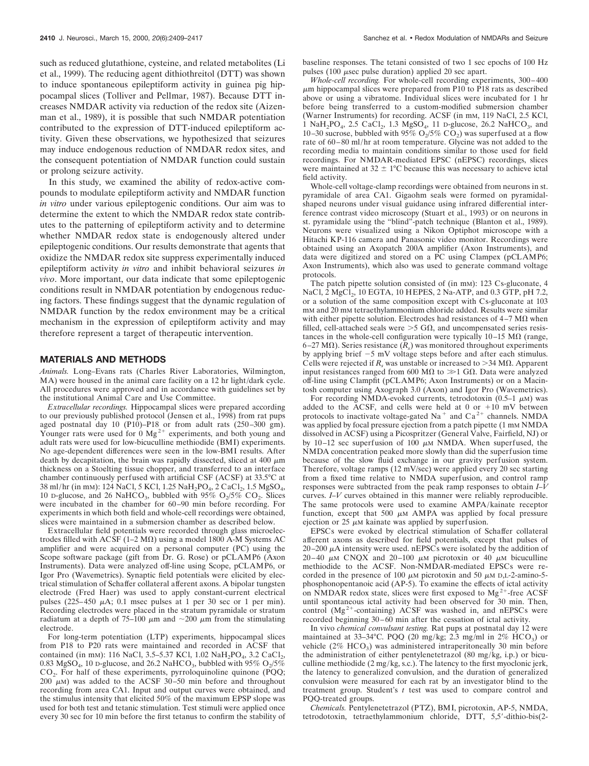such as reduced glutathione, cysteine, and related metabolites (Li et al., 1999). The reducing agent dithiothreitol (DTT) was shown to induce spontaneous epileptiform activity in guinea pig hippocampal slices (Tolliver and Pellmar, 1987). Because DTT increases NMDAR activity via reduction of the redox site (Aizenman et al., 1989), it is possible that such NMDAR potentiation contributed to the expression of DTT-induced epileptiform activity. Given these observations, we hypothesized that seizures may induce endogenous reduction of NMDAR redox sites, and the consequent potentiation of NMDAR function could sustain or prolong seizure activity.

In this study, we examined the ability of redox-active compounds to modulate epileptiform activity and NMDAR function *in vitro* under various epileptogenic conditions. Our aim was to determine the extent to which the NMDAR redox state contributes to the patterning of epileptiform activity and to determine whether NMDAR redox state is endogenously altered under epileptogenic conditions. Our results demonstrate that agents that oxidize the NMDAR redox site suppress experimentally induced epileptiform activity *in vitro* and inhibit behavioral seizures *in vivo*. More important, our data indicate that some epileptogenic conditions result in NMDAR potentiation by endogenous reducing factors. These findings suggest that the dynamic regulation of NMDAR function by the redox environment may be a critical mechanism in the expression of epileptiform activity and may therefore represent a target of therapeutic intervention.

## **MATERIALS AND METHODS**

*Animals.* Long–Evans rats (Charles River Laboratories, Wilmington, MA) were housed in the animal care facility on a 12 hr light/dark cycle. All procedures were approved and in accordance with guidelines set by the institutional Animal Care and Use Committee.

*Extracellular recordings.* Hippocampal slices were prepared according to our previously published protocol (Jensen et al., 1998) from rat pups aged postnatal day 10 (P10)–P18 or from adult rats (250–300 gm). Younger rats were used for  $0 \text{ Mg}^{2+}$  experiments, and both young and adult rats were used for low-bicuculline methiodide (BMI) experiments. No age-dependent differences were seen in the low-BMI results. After death by decapitation, the brain was rapidly dissected, sliced at 400  $\mu$ m thickness on a Stoelting tissue chopper, and transferred to an interface chamber continuously perfused with artificial CSF (ACSF) at 33.5°C at 38 ml/hr (in mm): 124 NaCl, 5 KCl, 1.25 NaH<sub>2</sub>PO<sub>4</sub>, 2 CaCl<sub>2</sub>, 1.5 MgSO<sub>4</sub>, 10 D-glucose, and 26 NaHCO<sub>3</sub>, bubbled with 95%  $O_2/5\%$  CO<sub>2</sub>. Slices were incubated in the chamber for 60–90 min before recording. For experiments in which both field and whole-cell recordings were obtained, slices were maintained in a submersion chamber as described below.

Extracellular field potentials were recorded through glass microelectrodes filled with  $ACSF (1–2 M\Omega)$  using a model 1800 A-M Systems AC amplifier and were acquired on a personal computer (PC) using the Scope software package (gift from Dr. G. Rose) or pCLAMP6 (Axon Instruments). Data were analyzed off-line using Scope, pCLAMP6, or Igor Pro (Wavemetrics). Synaptic field potentials were elicited by electrical stimulation of Schaffer collateral afferent axons. A bipolar tungsten electrode (Fred Haer) was used to apply constant-current electrical pulses  $(225-450 \mu A; 0.1 \text{ msec pulses at 1 per 30 sec or 1 per min}).$ Recording electrodes were placed in the stratum pyramidale or stratum radiatum at a depth of 75–100  $\mu$ m and  $\sim$ 200  $\mu$ m from the stimulating electrode.

For long-term potentiation (LTP) experiments, hippocampal slices from P18 to P20 rats were maintained and recorded in ACSF that contained (in mm): 116 NaCl, 3.5–5.37 KCl, 1.02 NaH<sub>2</sub>PO<sub>4</sub>, 3.2 CaCl<sub>2</sub>, 0.83 MgSO<sub>4</sub>, 10 D-glucose, and 26.2 NaHCO<sub>3</sub>, bubbled with 95% O<sub>2</sub>/5% CO2. For half of these experiments, pyrroloquinoline quinone (PQQ; 200  $\mu$ M) was added to the ACSF 30-50 min before and throughout recording from area CA1. Input and output curves were obtained, and the stimulus intensity that elicited 50% of the maximum EPSP slope was used for both test and tetanic stimulation. Test stimuli were applied once every 30 sec for 10 min before the first tetanus to confirm the stability of baseline responses. The tetani consisted of two 1 sec epochs of 100 Hz pulses (100  $\mu$ sec pulse duration) applied 20 sec apart.

*Whole-cell recording.* For whole-cell recording experiments, 300–400  $\mu$ m hippocampal slices were prepared from P10 to P18 rats as described above or using a vibratome. Individual slices were incubated for 1 hr before being transferred to a custom-modified submersion chamber (Warner Instruments) for recording. ACSF (in mM, 119 NaCl, 2.5 KCl, 1 NaH<sub>2</sub>PO<sub>4</sub>, 2.5 CaCl<sub>2</sub>, 1.3 MgSO<sub>4</sub>, 11 D-glucose, 26.2 NaHCO<sub>3</sub>, and 10–30 sucrose, bubbled with 95%  $O<sub>2</sub>/5\%$   $CO<sub>2</sub>$ ) was superfused at a flow rate of 60–80 ml/hr at room temperature. Glycine was not added to the recording media to maintain conditions similar to those used for field recordings. For NMDAR-mediated EPSC (nEPSC) recordings, slices were maintained at  $32 \pm 1$ °C because this was necessary to achieve ictal field activity.

Whole-cell voltage-clamp recordings were obtained from neurons in st. pyramidale of area CA1. Gigaohm seals were formed on pyramidalshaped neurons under visual guidance using infrared differential interference contrast video microscopy (Stuart et al., 1993) or on neurons in st. pyramidale using the "blind"-patch technique (Blanton et al., 1989). Neurons were visualized using a Nikon Optiphot microscope with a Hitachi KP-116 camera and Panasonic video monitor. Recordings were obtained using an Axopatch 200A amplifier (Axon Instruments), and data were digitized and stored on a PC using Clampex (pCLAMP6; Axon Instruments), which also was used to generate command voltage protocols.

The patch pipette solution consisted of (in mM): 123 Cs-gluconate, 4 NaCl, 2 MgCl<sub>2</sub>, 10 EGTA, 10 HEPES, 2 Na-ATP, and 0.3 GTP, pH 7.2, or a solution of the same composition except with Cs-gluconate at 103 mM and 20 mM tetraethylammonium chloride added. Results were similar with either pipette solution. Electrodes had resistances of  $4-7 \text{ M}\Omega$  when filled, cell-attached seals were  $>5$  G $\Omega$ , and uncompensated series resistances in the whole-cell configuration were typically  $10-15$  M $\Omega$  (range, 6–27 M $\Omega$ ). Series resistance  $(R_s)$  was monitored throughout experiments by applying brief  $-5$  mV voltage steps before and after each stimulus. Cells were rejected if  $R<sub>s</sub>$  was unstable or increased to  $>$ 34 M $\Omega$ . Apparent input resistances ranged from 600 M $\Omega$  to  $\gg$ 1 G $\Omega$ . Data were analyzed off-line using Clampfit (pCLAMP6; Axon Instruments) or on a Macintosh computer using Axograph 3.0 (Axon) and Igor Pro (Wavemetrics).

For recording NMDA-evoked currents, tetrodotoxin (0.5–1  $\mu$ M) was added to the ACSF, and cells were held at  $0$  or  $+10$  mV between protocols to inactivate voltage-gated Na<sup>+</sup> and Ca<sup>2+</sup> channels. NMDA was applied by focal pressure ejection from a patch pipette (1 mm NMDA dissolved in ACSF) using a Picospritzer (General Valve, Fairfield, NJ) or by 10–12 sec superfusion of 100  $\mu$ M NMDA. When superfused, the NMDA concentration peaked more slowly than did the superfusion time because of the slow fluid exchange in our gravity perfusion system. Therefore, voltage ramps (12 mV/sec) were applied every 20 sec starting from a fixed time relative to NMDA superfusion, and control ramp responses were subtracted from the peak ramp responses to obtain *I–V* curves. *I–V* curves obtained in this manner were reliably reproducible. The same protocols were used to examine AMPA/kainate receptor function, except that 500  $\mu$ M AMPA was applied by focal pressure ejection or 25  $\mu$ M kainate was applied by superfusion.

EPSCs were evoked by electrical stimulation of Schaffer collateral afferent axons as described for field potentials, except that pulses of  $20-200 \mu A$  intensity were used. nEPSCs were isolated by the addition of 20–40  $\mu$ M CNQX and 20–100  $\mu$ M picrotoxin or 40  $\mu$ M bicuculline methiodide to the ACSF. Non-NMDAR-mediated EPSCs were recorded in the presence of 100  $\mu$ M picrotoxin and 50  $\mu$ M D,L-2-amino-5phosphonopentanoic acid (AP-5). To examine the effects of ictal activity on NMDAR redox state, slices were first exposed to  $Mg^{2+}$ -free ACSF until spontaneous ictal activity had been observed for 30 min. Then, control  $(Mg^{2+}$ -containing) ACSF was washed in, and nEPSCs were recorded beginning 30–60 min after the cessation of ictal activity.

In vivo *chemical convulsant testing.* Rat pups at postnatal day 12 were maintained at 33–34°C. PQQ (20 mg/kg; 2.3 mg/ml in 2%  $\text{HCO}_3$ ) or vehicle ( $2\%$  HCO<sub>3</sub>) was administered intraperitoneally 30 min before the administration of either pentylenetetrazol (80 mg/kg, i.p.) or bicuculline methiodide (2 mg/kg, s.c.). The latency to the first myoclonic jerk, the latency to generalized convulsion, and the duration of generalized convulsion were measured for each rat by an investigator blind to the treatment group. Student's *t* test was used to compare control and PQQ-treated groups.

*Chemicals.* Pentylenetetrazol (PTZ), BMI, picrotoxin, AP-5, NMDA, tetrodotoxin, tetraethylammonium chloride, DTT, 5,5'-dithio-bis(2-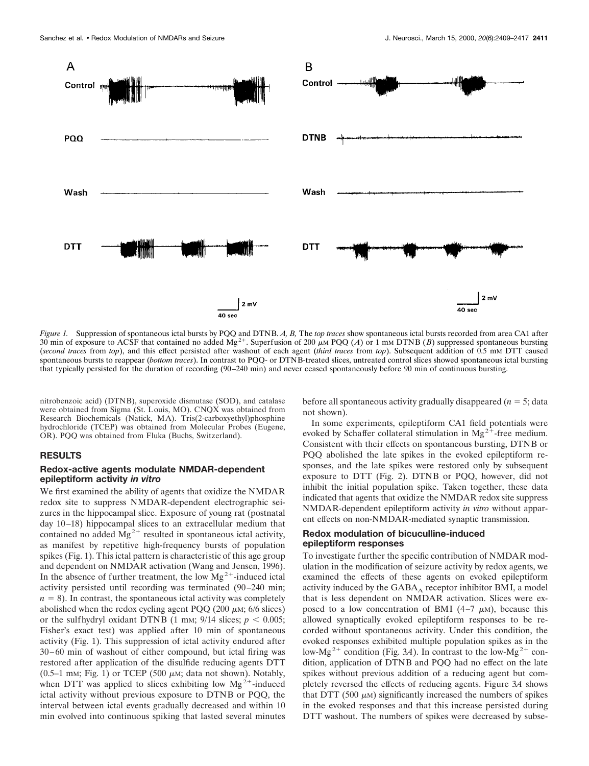

*Figure 1.* Suppression of spontaneous ictal bursts by PQQ and DTNB. *A, B,* The *top traces* show spontaneous ictal bursts recorded from area CA1 after 30 min of exposure to ACSF that contained no added  $\overline{Mg}^{2+}$ . Superfusion of 200  $\mu$ M POO (*A*) or 1 mM DTNB (*B*) suppressed spontaneous bursting (*second traces* from *top*), and this effect persisted after washout of each agent (*third traces* from *top*). Subsequent addition of 0.5 mM DTT caused spontaneous bursts to reappear (*bottom traces*). In contrast to PQQ- or DTNB-treated slices, untreated control slices showed spontaneous ictal bursting that typically persisted for the duration of recording (90–240 min) and never ceased spontaneously before 90 min of continuous bursting.

nitrobenzoic acid) (DTNB), superoxide dismutase (SOD), and catalase were obtained from Sigma (St. Louis, MO). CNQX was obtained from Research Biochemicals (Natick, MA). Tris(2-carboxyethyl)phosphine hydrochloride (TCEP) was obtained from Molecular Probes (Eugene, OR). PQQ was obtained from Fluka (Buchs, Switzerland).

# **RESULTS**

# **Redox-active agents modulate NMDAR-dependent epileptiform activity** *in vitro*

We first examined the ability of agents that oxidize the NMDAR redox site to suppress NMDAR-dependent electrographic seizures in the hippocampal slice. Exposure of young rat (postnatal day 10–18) hippocampal slices to an extracellular medium that contained no added  $Mg^{2+}$  resulted in spontaneous ictal activity, as manifest by repetitive high-frequency bursts of population spikes (Fig. 1). This ictal pattern is characteristic of this age group and dependent on NMDAR activation (Wang and Jensen, 1996). In the absence of further treatment, the low  $Mg^{2+}$ -induced ictal activity persisted until recording was terminated (90–240 min;  $n = 8$ ). In contrast, the spontaneous ictal activity was completely abolished when the redox cycling agent PQQ (200  $\mu$ M; 6/6 slices) or the sulfhydryl oxidant DTNB  $(1 \text{ mm}; 9/14 \text{ slices}; p < 0.005;$ Fisher's exact test) was applied after 10 min of spontaneous activity (Fig. 1). This suppression of ictal activity endured after 30–60 min of washout of either compound, but ictal firing was restored after application of the disulfide reducing agents DTT (0.5–1 mm; Fig. 1) or TCEP (500  $\mu$ m; data not shown). Notably, when DTT was applied to slices exhibiting low  $Mg^{2+}$ -induced ictal activity without previous exposure to DTNB or PQQ, the interval between ictal events gradually decreased and within 10 min evolved into continuous spiking that lasted several minutes

before all spontaneous activity gradually disappeared  $(n = 5; \text{data})$ not shown).

In some experiments, epileptiform CA1 field potentials were evoked by Schaffer collateral stimulation in  $Mg^{2+}$ -free medium. Consistent with their effects on spontaneous bursting, DTNB or PQQ abolished the late spikes in the evoked epileptiform responses, and the late spikes were restored only by subsequent exposure to DTT (Fig. 2). DTNB or PQQ, however, did not inhibit the initial population spike. Taken together, these data indicated that agents that oxidize the NMDAR redox site suppress NMDAR-dependent epileptiform activity *in vitro* without apparent effects on non-NMDAR-mediated synaptic transmission.

# **Redox modulation of bicuculline-induced epileptiform responses**

To investigate further the specific contribution of NMDAR modulation in the modification of seizure activity by redox agents, we examined the effects of these agents on evoked epileptiform activity induced by the  $GABA_A$  receptor inhibitor BMI, a model that is less dependent on NMDAR activation. Slices were exposed to a low concentration of BMI (4–7  $\mu$ M), because this allowed synaptically evoked epileptiform responses to be recorded without spontaneous activity. Under this condition, the evoked responses exhibited multiple population spikes as in the low-Mg<sup>2+</sup> condition (Fig. 3*A*). In contrast to the low-Mg<sup>2+</sup> condition, application of DTNB and PQQ had no effect on the late spikes without previous addition of a reducing agent but completely reversed the effects of reducing agents. Figure 3*A* shows that DTT (500  $\mu$ M) significantly increased the numbers of spikes in the evoked responses and that this increase persisted during DTT washout. The numbers of spikes were decreased by subse-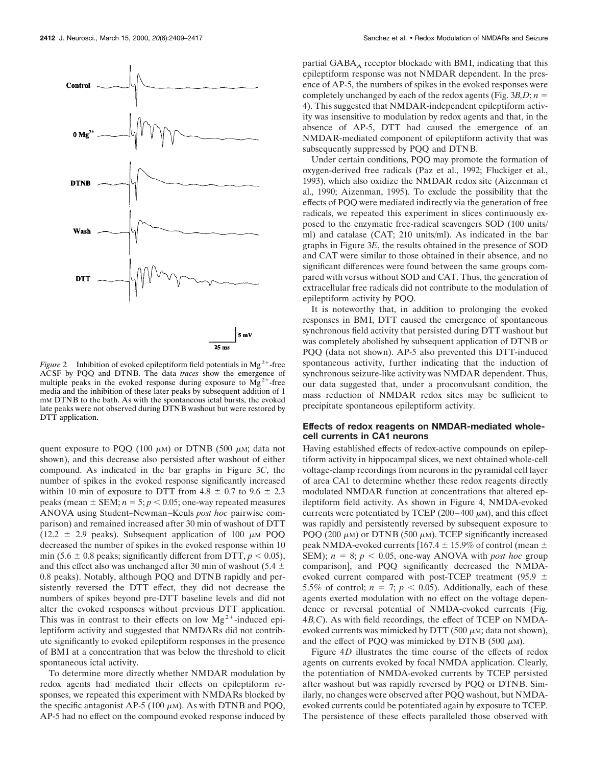

*Figure 2.* Inhibition of evoked epileptiform field potentials in  $Mg^{2+}$ -free ACSF by PQQ and DTNB. The data *traces* show the emergence of multiple peaks in the evoked response during exposure to  $Mg^{2+}$ -free media and the inhibition of these later peaks by subsequent addition of 1 mM DTNB to the bath. As with the spontaneous ictal bursts, the evoked late peaks were not observed during DTNB washout but were restored by DTT application.

quent exposure to PQQ (100  $\mu$ M) or DTNB (500  $\mu$ M; data not shown), and this decrease also persisted after washout of either compound. As indicated in the bar graphs in Figure 3*C*, the number of spikes in the evoked response significantly increased within 10 min of exposure to DTT from 4.8  $\pm$  0.7 to 9.6  $\pm$  2.3 peaks (mean  $\pm$  SEM;  $n = 5$ ;  $p < 0.05$ ; one-way repeated measures ANOVA using Student–Newman–Keuls *post hoc* pairwise comparison) and remained increased after 30 min of washout of DTT (12.2  $\pm$  2.9 peaks). Subsequent application of 100  $\mu$ M PQQ decreased the number of spikes in the evoked response within 10 min (5.6  $\pm$  0.8 peaks; significantly different from DTT,  $p$  < 0.05), and this effect also was unchanged after 30 min of washout (5.4  $\pm$ 0.8 peaks). Notably, although PQQ and DTNB rapidly and persistently reversed the DTT effect, they did not decrease the numbers of spikes beyond pre-DTT baseline levels and did not alter the evoked responses without previous DTT application. This was in contrast to their effects on low  $Mg^{2+}$ -induced epileptiform activity and suggested that NMDARs did not contribute significantly to evoked epileptiform responses in the presence of BMI at a concentration that was below the threshold to elicit spontaneous ictal activity.

To determine more directly whether NMDAR modulation by redox agents had mediated their effects on epileptiform responses, we repeated this experiment with NMDARs blocked by the specific antagonist AP-5 (100  $\mu$ M). As with DTNB and PQQ, AP-5 had no effect on the compound evoked response induced by partial  $GABA_A$  receptor blockade with BMI, indicating that this epileptiform response was not NMDAR dependent. In the presence of AP-5, the numbers of spikes in the evoked responses were completely unchanged by each of the redox agents (Fig.  $3B, D; n =$ 4). This suggested that NMDAR-independent epileptiform activity was insensitive to modulation by redox agents and that, in the absence of AP-5, DTT had caused the emergence of an NMDAR-mediated component of epileptiform activity that was subsequently suppressed by PQQ and DTNB.

Under certain conditions, PQQ may promote the formation of oxygen-derived free radicals (Paz et al., 1992; Fluckiger et al., 1993), which also oxidize the NMDAR redox site (Aizenman et al., 1990; Aizenman, 1995). To exclude the possibility that the effects of PQQ were mediated indirectly via the generation of free radicals, we repeated this experiment in slices continuously exposed to the enzymatic free-radical scavengers SOD (100 units/ ml) and catalase (CAT; 210 units/ml). As indicated in the bar graphs in Figure 3*E*, the results obtained in the presence of SOD and CAT were similar to those obtained in their absence, and no significant differences were found between the same groups compared with versus without SOD and CAT. Thus, the generation of extracellular free radicals did not contribute to the modulation of epileptiform activity by PQQ.

It is noteworthy that, in addition to prolonging the evoked responses in BMI, DTT caused the emergence of spontaneous synchronous field activity that persisted during DTT washout but was completely abolished by subsequent application of DTNB or PQQ (data not shown). AP-5 also prevented this DTT-induced spontaneous activity, further indicating that the induction of synchronous seizure-like activity was NMDAR dependent. Thus, our data suggested that, under a proconvulsant condition, the mass reduction of NMDAR redox sites may be sufficient to precipitate spontaneous epileptiform activity.

# **Effects of redox reagents on NMDAR-mediated wholecell currents in CA1 neurons**

Having established effects of redox-active compounds on epileptiform activity in hippocampal slices, we next obtained whole-cell voltage-clamp recordings from neurons in the pyramidal cell layer of area CA1 to determine whether these redox reagents directly modulated NMDAR function at concentrations that altered epileptiform field activity. As shown in Figure 4, NMDA-evoked currents were potentiated by TCEP (200–400  $\mu$ M), and this effect was rapidly and persistently reversed by subsequent exposure to PQQ (200  $\mu$ M) or DTNB (500  $\mu$ M). TCEP significantly increased peak NMDA-evoked currents [167.4  $\pm$  15.9% of control (mean  $\pm$ SEM);  $n = 8$ ;  $p < 0.05$ , one-way ANOVA with *post hoc* group comparison], and PQQ significantly decreased the NMDAevoked current compared with post-TCEP treatment (95.9  $\pm$ 5.5% of control;  $n = 7$ ;  $p < 0.05$ ). Additionally, each of these agents exerted modulation with no effect on the voltage dependence or reversal potential of NMDA-evoked currents (Fig. 4*B,C*). As with field recordings, the effect of TCEP on NMDAevoked currents was mimicked by DTT (500  $\mu$ M; data not shown), and the effect of POO was mimicked by DTNB (500  $\mu$ M).

Figure 4*D* illustrates the time course of the effects of redox agents on currents evoked by focal NMDA application. Clearly, the potentiation of NMDA-evoked currents by TCEP persisted after washout but was rapidly reversed by PQQ or DTNB. Similarly, no changes were observed after PQQ washout, but NMDAevoked currents could be potentiated again by exposure to TCEP. The persistence of these effects paralleled those observed with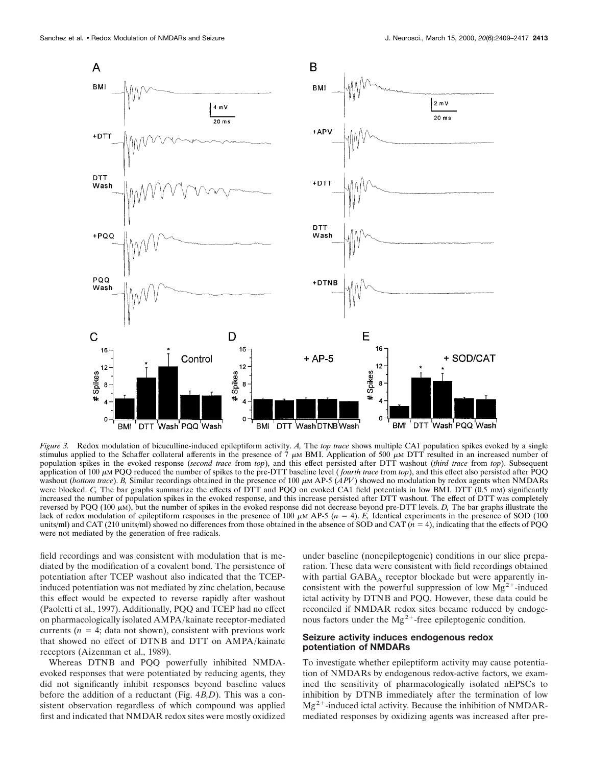

*Figure 3.* Redox modulation of bicuculline-induced epileptiform activity. *A,* The *top trace* shows multiple CA1 population spikes evoked by a single stimulus applied to the Schaffer collateral afferents in the presence of  $7 \mu$ M BMI. Application of 500  $\mu$ M DTT resulted in an increased number of population spikes in the evoked response (*second trace* from *top*), and this effect persisted after DTT washout (*third trace* from *top*). Subsequent application of 100  $\mu$ m PQQ reduced the number of spikes to the pre-DTT baseline level (*fourth trace* from *top*), and this effect also persisted after PQQ washout (*bottom trace*). *B*, Similar recordings obtained in the presence of 100  $\mu$ M AP-5 (*APV*) showed no modulation by redox agents when NMDARs were blocked. *C*, The bar graphs summarize the effects of DTT and PQQ on evoked CA1 field potentials in low BMI. DTT (0.5 mM) significantly increased the number of population spikes in the evoked response, and this increase persisted after DTT washout. The effect of DTT was completely reversed by PQQ (100  $\mu$ M), but the number of spikes in the evoked response did not decrease beyond pre-DTT levels. *D*, The bar graphs illustrate the lack of redox modulation of epileptiform responses in the presence of 100  $\mu$ M AP-5 ( $n = 4$ ). *E*, Identical experiments in the presence of SOD (100) units/ml) and CAT (210 units/ml) showed no differences from those obtained in the absence of SOD and CAT  $(n = 4)$ , indicating that the effects of PQQ were not mediated by the generation of free radicals.

field recordings and was consistent with modulation that is mediated by the modification of a covalent bond. The persistence of potentiation after TCEP washout also indicated that the TCEPinduced potentiation was not mediated by zinc chelation, because this effect would be expected to reverse rapidly after washout (Paoletti et al., 1997). Additionally, PQQ and TCEP had no effect on pharmacologically isolated AMPA/kainate receptor-mediated currents  $(n = 4; \text{ data not shown})$ , consistent with previous work that showed no effect of DTNB and DTT on AMPA/kainate receptors (Aizenman et al., 1989).

Whereas DTNB and PQQ powerfully inhibited NMDAevoked responses that were potentiated by reducing agents, they did not significantly inhibit responses beyond baseline values before the addition of a reductant (Fig. 4*B,D*). This was a consistent observation regardless of which compound was applied first and indicated that NMDAR redox sites were mostly oxidized

under baseline (nonepileptogenic) conditions in our slice preparation. These data were consistent with field recordings obtained with partial  $GABA_A$  receptor blockade but were apparently inconsistent with the powerful suppression of low  $Mg^{2+}$ -induced ictal activity by DTNB and PQQ. However, these data could be reconciled if NMDAR redox sites became reduced by endogenous factors under the  $Mg^{2+}$ -free epileptogenic condition.

#### **Seizure activity induces endogenous redox potentiation of NMDARs**

To investigate whether epileptiform activity may cause potentiation of NMDARs by endogenous redox-active factors, we examined the sensitivity of pharmacologically isolated nEPSCs to inhibition by DTNB immediately after the termination of low  $Mg^{2+}$ -induced ictal activity. Because the inhibition of NMDARmediated responses by oxidizing agents was increased after pre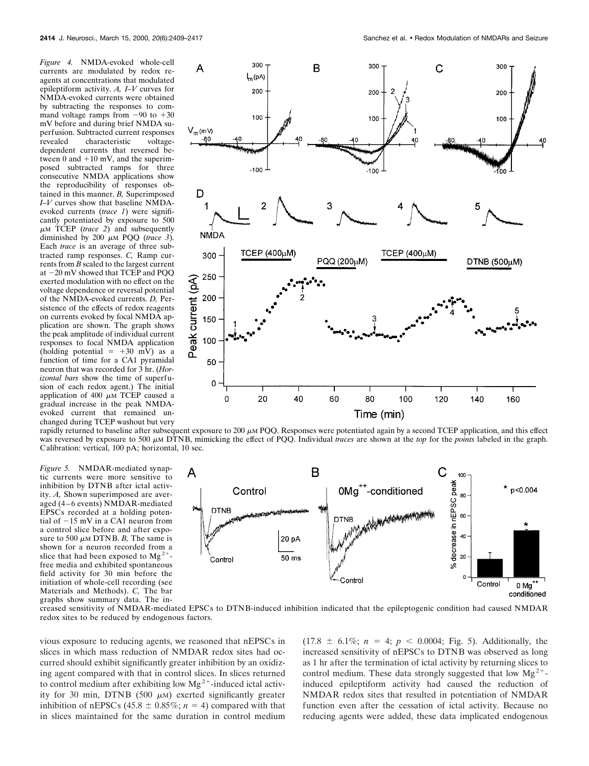*Figure 4.* NMDA-evoked whole-cell currents are modulated by redox reagents at concentrations that modulated epileptiform activity. *A, I–V* curves for NMDA-evoked currents were obtained by subtracting the responses to command voltage ramps from  $-90$  to  $+30$ mV before and during brief NMDA superfusion. Subtracted current responses revealed characteristic voltagedependent currents that reversed between 0 and  $+10$  mV, and the superimposed subtracted ramps for three consecutive NMDA applications show the reproducibility of responses obtained in this manner. *B,* Superimposed *I–V* curves show that baseline NMDAevoked currents (*trace 1*) were significantly potentiated by exposure to 500  $\mu$ M TCEP (*trace 2*) and subsequently diminished by 200  $\mu$ M PQQ (*trace 3*). Each *trace* is an average of three subtracted ramp responses. *C,* Ramp currents from *B* scaled to the largest current at -20 mV showed that TCEP and PQQ exerted modulation with no effect on the voltage dependence or reversal potential of the NMDA-evoked currents. *D,* Persistence of the effects of redox reagents on currents evoked by focal NMDA application are shown. The graph shows the peak amplitude of individual current responses to focal NMDA application (holding potential  $= +30$  mV) as a function of time for a CA1 pyramidal neuron that was recorded for 3 hr. (*Horizontal bars* show the time of superfusion of each redox agent.) The initial application of 400  $\mu$ M TCEP caused a gradual increase in the peak NMDAevoked current that remained unchanged during TCEP washout but very

*Figure 5.* NMDAR-mediated synaptic currents were more sensitive to inhibition by DTNB after ictal activity. *A,* Shown superimposed are averaged (4-6 events) NMDAR-mediated EPSCs recorded at a holding potential of  $-15$  mV in a CA1 neuron from a control slice before and after exposure to 500  $\mu$ M DTNB. *B*, The same is shown for a neuron recorded from a slice that had been exposed to  $Mg^{2+}$ free media and exhibited spontaneous field activity for 30 min before the initiation of whole-cell recording (see Materials and Methods). *C,* The bar graphs show summary data. The in-



rapidly returned to baseline after subsequent exposure to  $200 \mu M$  PQQ. Responses were potentiated again by a second TCEP application, and this effect was reversed by exposure to 500 <sup>m</sup>M DTNB, mimicking the effect of PQQ. Individual *traces* are shown at the *top* for the *points* labeled in the graph. Calibration: vertical, 100 pA; horizontal, 10 sec.



creased sensitivity of NMDAR-mediated EPSCs to DTNB-induced inhibition indicated that the epileptogenic condition had caused NMDAR redox sites to be reduced by endogenous factors.

vious exposure to reducing agents, we reasoned that nEPSCs in slices in which mass reduction of NMDAR redox sites had occurred should exhibit significantly greater inhibition by an oxidizing agent compared with that in control slices. In slices returned to control medium after exhibiting low  $Mg^{2+}$ -induced ictal activity for 30 min, DTNB (500  $\mu$ M) exerted significantly greater inhibition of nEPSCs (45.8  $\pm$  0.85%; *n* = 4) compared with that in slices maintained for the same duration in control medium  $(17.8 \pm 6.1\%; n = 4; p < 0.0004; Fig. 5)$ . Additionally, the increased sensitivity of nEPSCs to DTNB was observed as long as 1 hr after the termination of ictal activity by returning slices to control medium. These data strongly suggested that low  $Mg^{2+}$ induced epileptiform activity had caused the reduction of NMDAR redox sites that resulted in potentiation of NMDAR function even after the cessation of ictal activity. Because no reducing agents were added, these data implicated endogenous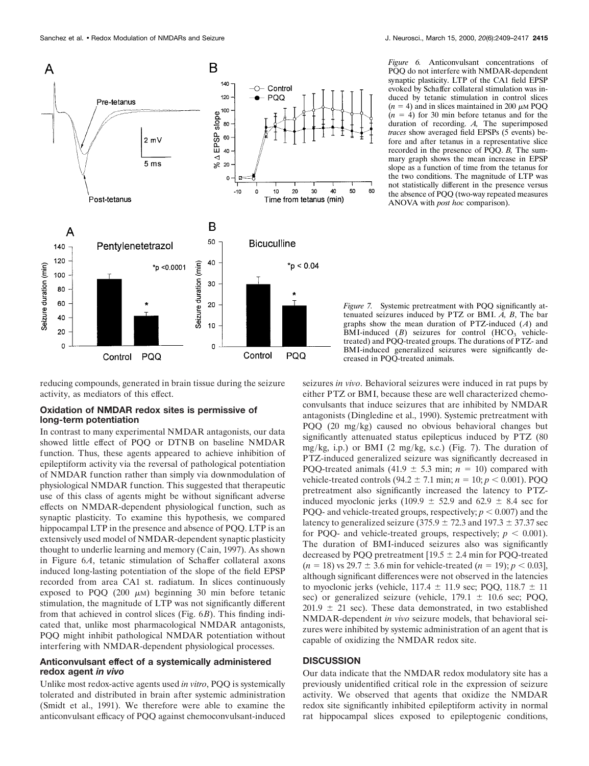

*Figure 6.* Anticonvulsant concentrations of PQQ do not interfere with NMDAR-dependent synaptic plasticity. LTP of the CA1 field EPSP evoked by Schaffer collateral stimulation was induced by tetanic stimulation in control slices  $(n = 4)$  and in slices maintained in 200  $\mu$ M PQQ  $(n = 4)$  for 30 min before tetanus and for the duration of recording. *A,* The superimposed *traces* show averaged field EPSPs (5 events) before and after tetanus in a representative slice recorded in the presence of PQQ. *B,* The summary graph shows the mean increase in EPSP slope as a function of time from the tetanus for the two conditions. The magnitude of LTP was not statistically different in the presence versus the absence of PQQ (two-way repeated measures ANOVA with *post hoc* comparison).

*Figure 7.* Systemic pretreatment with PQQ significantly attenuated seizures induced by PTZ or BMI. *A, B*, The bar graphs show the mean duration of PTZ-induced (*A*) and BMI-induced  $(B)$  seizures for control  $(HCO<sub>3</sub>$  vehicletreated) and PQQ-treated groups. The durations of PTZ- and BMI-induced generalized seizures were significantly decreased in PQQ-treated animals.

60

reducing compounds, generated in brain tissue during the seizure activity, as mediators of this effect.

## **Oxidation of NMDAR redox sites is permissive of long-term potentiation**

In contrast to many experimental NMDAR antagonists, our data showed little effect of PQQ or DTNB on baseline NMDAR function. Thus, these agents appeared to achieve inhibition of epileptiform activity via the reversal of pathological potentiation of NMDAR function rather than simply via downmodulation of physiological NMDAR function. This suggested that therapeutic use of this class of agents might be without significant adverse effects on NMDAR-dependent physiological function, such as synaptic plasticity. To examine this hypothesis, we compared hippocampal LTP in the presence and absence of PQQ. LTP is an extensively used model of NMDAR-dependent synaptic plasticity thought to underlie learning and memory (Cain, 1997). As shown in Figure 6*A*, tetanic stimulation of Schaffer collateral axons induced long-lasting potentiation of the slope of the field EPSP recorded from area CA1 st. radiatum. In slices continuously exposed to PQQ (200  $\mu$ M) beginning 30 min before tetanic stimulation, the magnitude of LTP was not significantly different from that achieved in control slices (Fig. 6*B*). This finding indicated that, unlike most pharmacological NMDAR antagonists, PQQ might inhibit pathological NMDAR potentiation without interfering with NMDAR-dependent physiological processes.

# **Anticonvulsant effect of a systemically administered redox agent** *in vivo*

Unlike most redox-active agents used *in vitro*, PQQ is systemically tolerated and distributed in brain after systemic administration (Smidt et al., 1991). We therefore were able to examine the anticonvulsant efficacy of PQQ against chemoconvulsant-induced seizures *in vivo*. Behavioral seizures were induced in rat pups by either PTZ or BMI, because these are well characterized chemoconvulsants that induce seizures that are inhibited by NMDAR antagonists (Dingledine et al., 1990). Systemic pretreatment with PQQ (20 mg/kg) caused no obvious behavioral changes but significantly attenuated status epilepticus induced by PTZ (80 mg/kg, i.p.) or BMI (2 mg/kg, s.c.) (Fig. 7). The duration of PTZ-induced generalized seizure was significantly decreased in PQQ-treated animals (41.9  $\pm$  5.3 min; *n* = 10) compared with vehicle-treated controls (94.2  $\pm$  7.1 min;  $n = 10$ ;  $p < 0.001$ ). PQQ pretreatment also significantly increased the latency to PTZinduced myoclonic jerks (109.9  $\pm$  52.9 and 62.9  $\pm$  8.4 sec for PQQ- and vehicle-treated groups, respectively;  $p < 0.007$ ) and the latency to generalized seizure (375.9  $\pm$  72.3 and 197.3  $\pm$  37.37 sec for PQQ- and vehicle-treated groups, respectively;  $p < 0.001$ ). The duration of BMI-induced seizures also was significantly decreased by PQQ pretreatment  $[19.5 \pm 2.4 \text{ min}$  for PQQ-treated  $(n = 18)$  vs 29.7  $\pm$  3.6 min for vehicle-treated  $(n = 19)$ ;  $p < 0.03$ ], although significant differences were not observed in the latencies to myoclonic jerks (vehicle,  $117.4 \pm 11.9$  sec; PQQ,  $118.7 \pm 11$ sec) or generalized seizure (vehicle,  $179.1 \pm 10.6$  sec; PQQ,  $201.9 \pm 21$  sec). These data demonstrated, in two established NMDAR-dependent *in vivo* seizure models, that behavioral seizures were inhibited by systemic administration of an agent that is capable of oxidizing the NMDAR redox site.

# **DISCUSSION**

Our data indicate that the NMDAR redox modulatory site has a previously unidentified critical role in the expression of seizure activity. We observed that agents that oxidize the NMDAR redox site significantly inhibited epileptiform activity in normal rat hippocampal slices exposed to epileptogenic conditions,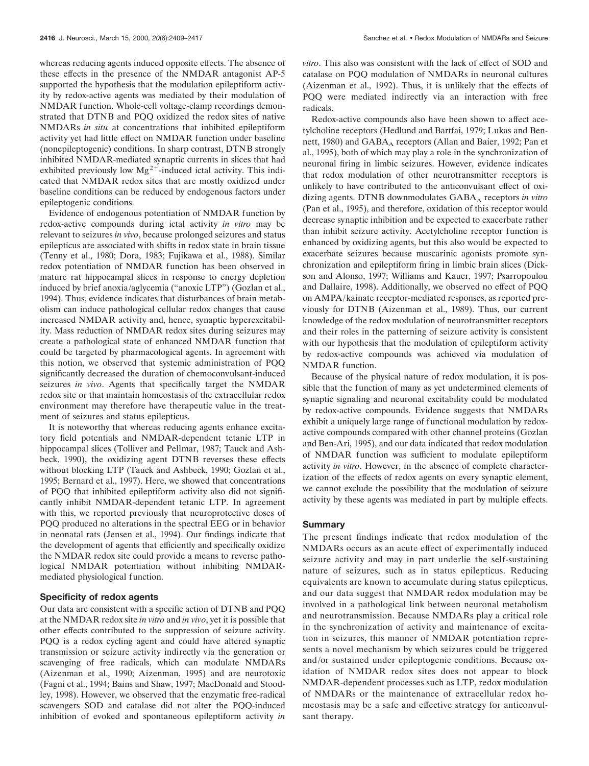whereas reducing agents induced opposite effects. The absence of these effects in the presence of the NMDAR antagonist AP-5 supported the hypothesis that the modulation epileptiform activity by redox-active agents was mediated by their modulation of NMDAR function. Whole-cell voltage-clamp recordings demonstrated that DTNB and PQQ oxidized the redox sites of native NMDARs *in situ* at concentrations that inhibited epileptiform activity yet had little effect on NMDAR function under baseline (nonepileptogenic) conditions. In sharp contrast, DTNB strongly inhibited NMDAR-mediated synaptic currents in slices that had exhibited previously low  $Mg^{2+}$ -induced ictal activity. This indicated that NMDAR redox sites that are mostly oxidized under baseline conditions can be reduced by endogenous factors under epileptogenic conditions.

Evidence of endogenous potentiation of NMDAR function by redox-active compounds during ictal activity *in vitro* may be relevant to seizures *in vivo*, because prolonged seizures and status epilepticus are associated with shifts in redox state in brain tissue (Tenny et al., 1980; Dora, 1983; Fujikawa et al., 1988). Similar redox potentiation of NMDAR function has been observed in mature rat hippocampal slices in response to energy depletion induced by brief anoxia/aglycemia ("anoxic LTP") (Gozlan et al., 1994). Thus, evidence indicates that disturbances of brain metabolism can induce pathological cellular redox changes that cause increased NMDAR activity and, hence, synaptic hyperexcitability. Mass reduction of NMDAR redox sites during seizures may create a pathological state of enhanced NMDAR function that could be targeted by pharmacological agents. In agreement with this notion, we observed that systemic administration of PQQ significantly decreased the duration of chemoconvulsant-induced seizures *in vivo*. Agents that specifically target the NMDAR redox site or that maintain homeostasis of the extracellular redox environment may therefore have therapeutic value in the treatment of seizures and status epilepticus.

It is noteworthy that whereas reducing agents enhance excitatory field potentials and NMDAR-dependent tetanic LTP in hippocampal slices (Tolliver and Pellmar, 1987; Tauck and Ashbeck, 1990), the oxidizing agent DTNB reverses these effects without blocking LTP (Tauck and Ashbeck, 1990; Gozlan et al., 1995; Bernard et al., 1997). Here, we showed that concentrations of PQQ that inhibited epileptiform activity also did not significantly inhibit NMDAR-dependent tetanic LTP. In agreement with this, we reported previously that neuroprotective doses of PQQ produced no alterations in the spectral EEG or in behavior in neonatal rats (Jensen et al., 1994). Our findings indicate that the development of agents that efficiently and specifically oxidize the NMDAR redox site could provide a means to reverse pathological NMDAR potentiation without inhibiting NMDARmediated physiological function.

#### **Specificity of redox agents**

Our data are consistent with a specific action of DTNB and PQQ at the NMDAR redox site *in vitro* and *in vivo*, yet it is possible that other effects contributed to the suppression of seizure activity. PQQ is a redox cycling agent and could have altered synaptic transmission or seizure activity indirectly via the generation or scavenging of free radicals, which can modulate NMDARs (Aizenman et al., 1990; Aizenman, 1995) and are neurotoxic (Fagni et al., 1994; Bains and Shaw, 1997; MacDonald and Stoodley, 1998). However, we observed that the enzymatic free-radical scavengers SOD and catalase did not alter the PQQ-induced inhibition of evoked and spontaneous epileptiform activity *in*

*vitro*. This also was consistent with the lack of effect of SOD and catalase on PQQ modulation of NMDARs in neuronal cultures (Aizenman et al., 1992). Thus, it is unlikely that the effects of PQQ were mediated indirectly via an interaction with free radicals.

Redox-active compounds also have been shown to affect acetylcholine receptors (Hedlund and Bartfai, 1979; Lukas and Bennett, 1980) and GABA<sub>A</sub> receptors (Allan and Baier, 1992; Pan et al., 1995), both of which may play a role in the synchronization of neuronal firing in limbic seizures. However, evidence indicates that redox modulation of other neurotransmitter receptors is unlikely to have contributed to the anticonvulsant effect of oxidizing agents. DTNB downmodulates GABA<sub>A</sub> receptors in vitro (Pan et al., 1995), and therefore, oxidation of this receptor would decrease synaptic inhibition and be expected to exacerbate rather than inhibit seizure activity. Acetylcholine receptor function is enhanced by oxidizing agents, but this also would be expected to exacerbate seizures because muscarinic agonists promote synchronization and epileptiform firing in limbic brain slices (Dickson and Alonso, 1997; Williams and Kauer, 1997; Psarropoulou and Dallaire, 1998). Additionally, we observed no effect of PQQ on AMPA/kainate receptor-mediated responses, as reported previously for DTNB (Aizenman et al., 1989). Thus, our current knowledge of the redox modulation of neurotransmitter receptors and their roles in the patterning of seizure activity is consistent with our hypothesis that the modulation of epileptiform activity by redox-active compounds was achieved via modulation of NMDAR function.

Because of the physical nature of redox modulation, it is possible that the function of many as yet undetermined elements of synaptic signaling and neuronal excitability could be modulated by redox-active compounds. Evidence suggests that NMDARs exhibit a uniquely large range of functional modulation by redoxactive compounds compared with other channel proteins (Gozlan and Ben-Ari, 1995), and our data indicated that redox modulation of NMDAR function was sufficient to modulate epileptiform activity *in vitro*. However, in the absence of complete characterization of the effects of redox agents on every synaptic element, we cannot exclude the possibility that the modulation of seizure activity by these agents was mediated in part by multiple effects.

#### **Summary**

The present findings indicate that redox modulation of the NMDARs occurs as an acute effect of experimentally induced seizure activity and may in part underlie the self-sustaining nature of seizures, such as in status epilepticus. Reducing equivalents are known to accumulate during status epilepticus, and our data suggest that NMDAR redox modulation may be involved in a pathological link between neuronal metabolism and neurotransmission. Because NMDARs play a critical role in the synchronization of activity and maintenance of excitation in seizures, this manner of NMDAR potentiation represents a novel mechanism by which seizures could be triggered and/or sustained under epileptogenic conditions. Because oxidation of NMDAR redox sites does not appear to block NMDAR-dependent processes such as LTP, redox modulation of NMDARs or the maintenance of extracellular redox homeostasis may be a safe and effective strategy for anticonvulsant therapy.